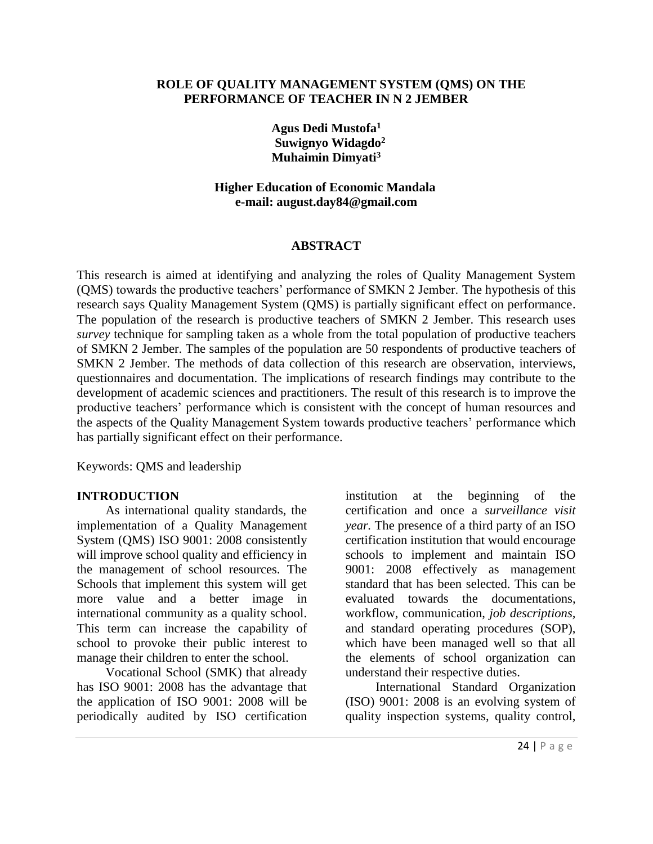#### **ROLE OF QUALITY MANAGEMENT SYSTEM (QMS) ON THE PERFORMANCE OF TEACHER IN N 2 JEMBER**

**Agus Dedi Mustofa<sup>1</sup> Suwignyo Widagdo<sup>2</sup> Muhaimin Dimyati<sup>3</sup>**

**Higher Education of Economic Mandala e-mail: august.day84@gmail.com**

#### **ABSTRACT**

This research is aimed at identifying and analyzing the roles of Quality Management System (QMS) towards the productive teachers' performance of SMKN 2 Jember. The hypothesis of this research says Quality Management System (QMS) is partially significant effect on performance. The population of the research is productive teachers of SMKN 2 Jember. This research uses *survey* technique for sampling taken as a whole from the total population of productive teachers of SMKN 2 Jember. The samples of the population are 50 respondents of productive teachers of SMKN 2 Jember. The methods of data collection of this research are observation, interviews, questionnaires and documentation. The implications of research findings may contribute to the development of academic sciences and practitioners. The result of this research is to improve the productive teachers' performance which is consistent with the concept of human resources and the aspects of the Quality Management System towards productive teachers' performance which has partially significant effect on their performance.

Keywords: QMS and leadership

#### **INTRODUCTION**

As international quality standards, the implementation of a Quality Management System (QMS) ISO 9001: 2008 consistently will improve school quality and efficiency in the management of school resources. The Schools that implement this system will get more value and a better image in international community as a quality school. This term can increase the capability of school to provoke their public interest to manage their children to enter the school.

Vocational School (SMK) that already has ISO 9001: 2008 has the advantage that the application of ISO 9001: 2008 will be periodically audited by ISO certification institution at the beginning of the certification and once a *surveillance visit year.* The presence of a third party of an ISO certification institution that would encourage schools to implement and maintain ISO 9001: 2008 effectively as management standard that has been selected. This can be evaluated towards the documentations, workflow, communication, *job descriptions,*  and standard operating procedures (SOP), which have been managed well so that all the elements of school organization can understand their respective duties.

International Standard Organization (ISO) 9001: 2008 is an evolving system of quality inspection systems, quality control,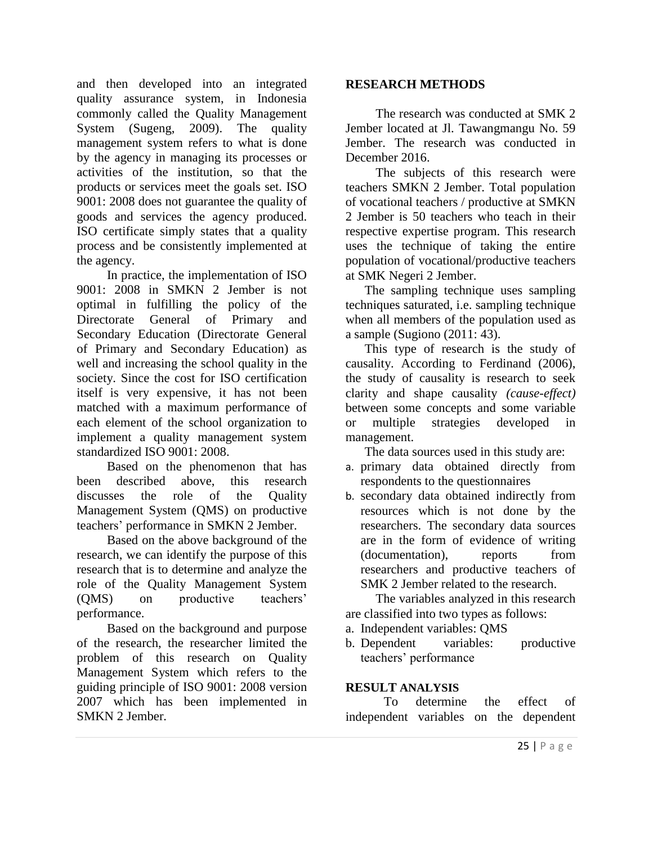and then developed into an integrated quality assurance system, in Indonesia commonly called the Quality Management System (Sugeng, 2009). The quality management system refers to what is done by the agency in managing its processes or activities of the institution, so that the products or services meet the goals set. ISO 9001: 2008 does not guarantee the quality of goods and services the agency produced. ISO certificate simply states that a quality process and be consistently implemented at the agency.

In practice, the implementation of ISO 9001: 2008 in SMKN 2 Jember is not optimal in fulfilling the policy of the Directorate General of Primary and Secondary Education (Directorate General of Primary and Secondary Education) as well and increasing the school quality in the society. Since the cost for ISO certification itself is very expensive, it has not been matched with a maximum performance of each element of the school organization to implement a quality management system standardized ISO 9001: 2008.

Based on the phenomenon that has been described above, this research discusses the role of the Quality Management System (QMS) on productive teachers' performance in SMKN 2 Jember.

Based on the above background of the research, we can identify the purpose of this research that is to determine and analyze the role of the Quality Management System (QMS) on productive teachers' performance.

Based on the background and purpose of the research, the researcher limited the problem of this research on Quality Management System which refers to the guiding principle of ISO 9001: 2008 version 2007 which has been implemented in SMKN 2 Jember.

## **RESEARCH METHODS**

The research was conducted at SMK 2 Jember located at Jl. Tawangmangu No. 59 Jember. The research was conducted in December 2016.

The subjects of this research were teachers SMKN 2 Jember. Total population of vocational teachers / productive at SMKN 2 Jember is 50 teachers who teach in their respective expertise program. This research uses the technique of taking the entire population of vocational/productive teachers at SMK Negeri 2 Jember.

The sampling technique uses sampling techniques saturated, i.e. sampling technique when all members of the population used as a sample (Sugiono (2011: 43).

This type of research is the study of causality. According to Ferdinand (2006), the study of causality is research to seek clarity and shape causality *(cause-effect)* between some concepts and some variable or multiple strategies developed in management.

The data sources used in this study are:

- a. primary data obtained directly from respondents to the questionnaires
- b. secondary data obtained indirectly from resources which is not done by the researchers. The secondary data sources are in the form of evidence of writing (documentation), reports from researchers and productive teachers of SMK 2 Jember related to the research.

The variables analyzed in this research are classified into two types as follows:

a. Independent variables: QMS

b. Dependent variables: productive teachers' performance

## **RESULT ANALYSIS**

To determine the effect of independent variables on the dependent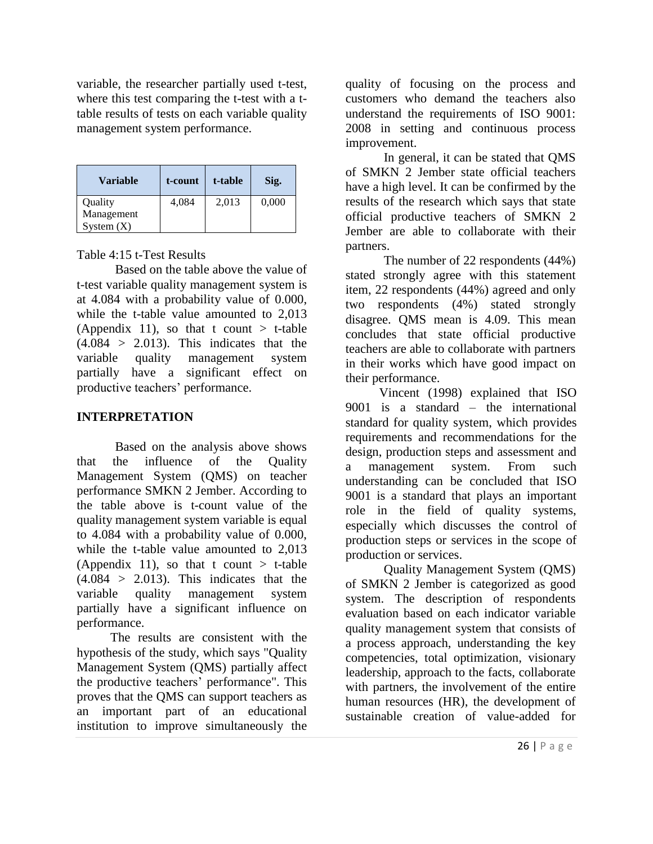variable, the researcher partially used t-test, where this test comparing the t-test with a ttable results of tests on each variable quality management system performance.

| Variable     | t-count | t-table | Sig.  |
|--------------|---------|---------|-------|
| Quality      | 4,084   | 2,013   | 0,000 |
| Management   |         |         |       |
| System $(X)$ |         |         |       |

Table 4:15 t-Test Results

Based on the table above the value of t-test variable quality management system is at 4.084 with a probability value of 0.000, while the t-table value amounted to 2,013 (Appendix 11), so that t count  $>$  t-table  $(4.084 > 2.013)$ . This indicates that the variable quality management system partially have a significant effect on productive teachers' performance.

## **INTERPRETATION**

Based on the analysis above shows that the influence of the Quality Management System (QMS) on teacher performance SMKN 2 Jember. According to the table above is t-count value of the quality management system variable is equal to 4.084 with a probability value of 0.000, while the t-table value amounted to 2,013 (Appendix 11), so that t count  $>$  t-table  $(4.084 > 2.013)$ . This indicates that the variable quality management system partially have a significant influence on performance.

The results are consistent with the hypothesis of the study, which says "Quality Management System (QMS) partially affect the productive teachers' performance". This proves that the QMS can support teachers as an important part of an educational institution to improve simultaneously the

quality of focusing on the process and customers who demand the teachers also understand the requirements of ISO 9001: 2008 in setting and continuous process improvement.

In general, it can be stated that QMS of SMKN 2 Jember state official teachers have a high level. It can be confirmed by the results of the research which says that state official productive teachers of SMKN 2 Jember are able to collaborate with their partners.

The number of 22 respondents (44%) stated strongly agree with this statement item, 22 respondents (44%) agreed and only two respondents (4%) stated strongly disagree. QMS mean is 4.09. This mean concludes that state official productive teachers are able to collaborate with partners in their works which have good impact on their performance.

Vincent (1998) explained that ISO 9001 is a standard – the international standard for quality system, which provides requirements and recommendations for the design, production steps and assessment and a management system. From such understanding can be concluded that ISO 9001 is a standard that plays an important role in the field of quality systems, especially which discusses the control of production steps or services in the scope of production or services.

Quality Management System (QMS) of SMKN 2 Jember is categorized as good system. The description of respondents evaluation based on each indicator variable quality management system that consists of a process approach, understanding the key competencies, total optimization, visionary leadership, approach to the facts, collaborate with partners, the involvement of the entire human resources (HR), the development of sustainable creation of value-added for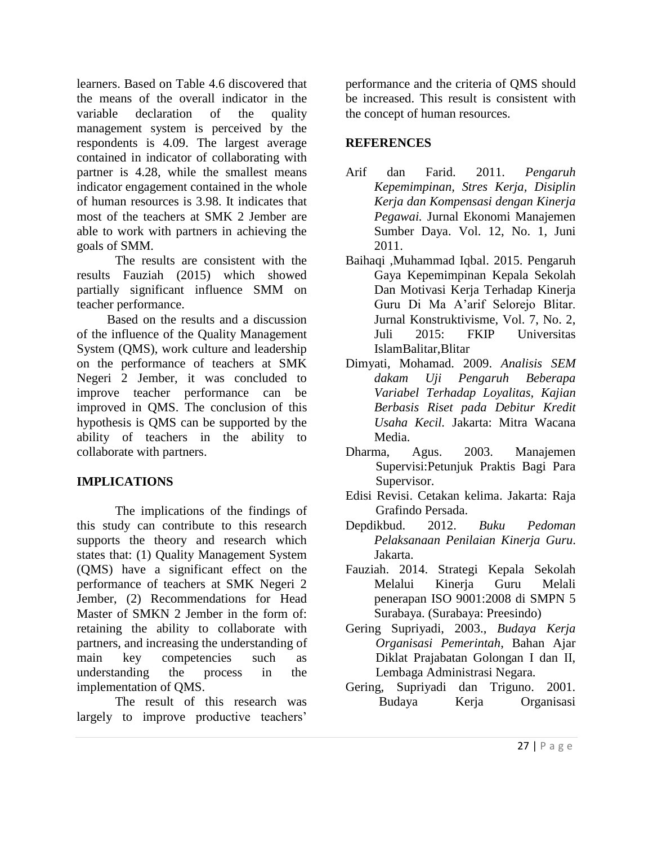learners. Based on Table 4.6 discovered that the means of the overall indicator in the variable declaration of the quality management system is perceived by the respondents is 4.09. The largest average contained in indicator of collaborating with partner is 4.28, while the smallest means indicator engagement contained in the whole of human resources is 3.98. It indicates that most of the teachers at SMK 2 Jember are able to work with partners in achieving the goals of SMM.

The results are consistent with the results Fauziah (2015) which showed partially significant influence SMM on teacher performance.

Based on the results and a discussion of the influence of the Quality Management System (QMS), work culture and leadership on the performance of teachers at SMK Negeri 2 Jember, it was concluded to improve teacher performance can be improved in QMS. The conclusion of this hypothesis is QMS can be supported by the ability of teachers in the ability to collaborate with partners.

## **IMPLICATIONS**

The implications of the findings of this study can contribute to this research supports the theory and research which states that: (1) Quality Management System (QMS) have a significant effect on the performance of teachers at SMK Negeri 2 Jember, (2) Recommendations for Head Master of SMKN 2 Jember in the form of: retaining the ability to collaborate with partners, and increasing the understanding of main key competencies such as understanding the process in the implementation of QMS.

The result of this research was largely to improve productive teachers'

performance and the criteria of QMS should be increased. This result is consistent with the concept of human resources.

## **REFERENCES**

- Arif dan Farid. 2011. *Pengaruh Kepemimpinan, Stres Kerja, Disiplin Kerja dan Kompensasi dengan Kinerja Pegawai.* Jurnal Ekonomi Manajemen Sumber Daya. Vol. 12, No. 1, Juni 2011.
- Baihaqi ,Muhammad Iqbal. 2015. Pengaruh Gaya Kepemimpinan Kepala Sekolah Dan Motivasi Kerja Terhadap Kinerja Guru Di Ma A'arif Selorejo Blitar. Jurnal Konstruktivisme, Vol. 7, No. 2, Juli 2015: FKIP Universitas IslamBalitar,Blitar
- Dimyati, Mohamad. 2009. *Analisis SEM dakam Uji Pengaruh Beberapa Variabel Terhadap Loyalitas, Kajian Berbasis Riset pada Debitur Kredit Usaha Kecil.* Jakarta: Mitra Wacana Media.
- Dharma, Agus. 2003. Manajemen Supervisi:Petunjuk Praktis Bagi Para Supervisor.
- Edisi Revisi. Cetakan kelima. Jakarta: Raja Grafindo Persada.
- Depdikbud. 2012. *Buku Pedoman Pelaksanaan Penilaian Kinerja Guru*. Jakarta.
- Fauziah. 2014. Strategi Kepala Sekolah Melalui Kinerja Guru Melali penerapan ISO 9001:2008 di SMPN 5 Surabaya. (Surabaya: Preesindo)
- Gering Supriyadi, 2003., *Budaya Kerja Organisasi Pemerintah*, Bahan Ajar Diklat Prajabatan Golongan I dan II, Lembaga Administrasi Negara.
- Gering, Supriyadi dan Triguno. 2001. Budaya Kerja Organisasi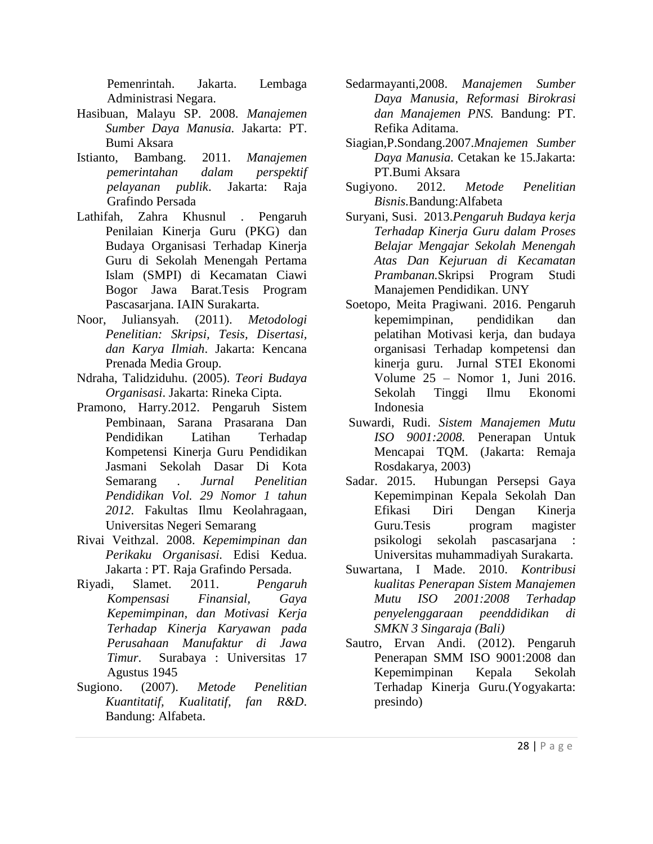Pemenrintah. Jakarta. Lembaga Administrasi Negara.

- Hasibuan, Malayu SP. 2008. *Manajemen Sumber Daya Manusia.* Jakarta: PT. Bumi Aksara
- Istianto, Bambang. 2011. *Manajemen pemerintahan dalam perspektif pelayanan publik*. Jakarta: Raja Grafindo Persada
- Lathifah, Zahra Khusnul . Pengaruh Penilaian Kinerja Guru (PKG) dan Budaya Organisasi Terhadap Kinerja Guru di Sekolah Menengah Pertama Islam (SMPI) di Kecamatan Ciawi Bogor Jawa Barat.Tesis Program Pascasarjana. IAIN Surakarta.
- Noor, Juliansyah. (2011). *Metodologi Penelitian: Skripsi, Tesis, Disertasi, dan Karya Ilmiah*. Jakarta: Kencana Prenada Media Group.
- Ndraha, Talidziduhu. (2005). *Teori Budaya Organisasi*. Jakarta: Rineka Cipta.
- Pramono, Harry.2012. Pengaruh Sistem Pembinaan, Sarana Prasarana Dan Pendidikan Latihan Terhadap Kompetensi Kinerja Guru Pendidikan Jasmani Sekolah Dasar Di Kota Semarang . *Jurnal Penelitian Pendidikan Vol. 29 Nomor 1 tahun 2012.* Fakultas Ilmu Keolahragaan, Universitas Negeri Semarang
- Rivai Veithzal. 2008. *Kepemimpinan dan Perikaku Organisasi.* Edisi Kedua. Jakarta : PT. Raja Grafindo Persada.
- Riyadi, Slamet. 2011. *Pengaruh Kompensasi Finansial, Gaya Kepemimpinan, dan Motivasi Kerja Terhadap Kinerja Karyawan pada Perusahaan Manufaktur di Jawa Timur*. Surabaya : Universitas 17 Agustus 1945
- Sugiono. (2007). *Metode Penelitian Kuantitatif, Kualitatif, fan R&D*. Bandung: Alfabeta.
- Sedarmayanti,2008. *Manajemen Sumber Daya Manusia, Reformasi Birokrasi dan Manajemen PNS.* Bandung: PT. Refika Aditama.
- Siagian,P.Sondang.2007.*Mnajemen Sumber Daya Manusia.* Cetakan ke 15.Jakarta: PT.Bumi Aksara
- Sugiyono. 2012. *Metode Penelitian Bisnis.*Bandung:Alfabeta
- Suryani, Susi. 2013.*Pengaruh Budaya kerja Terhadap Kinerja Guru dalam Proses Belajar Mengajar Sekolah Menengah Atas Dan Kejuruan di Kecamatan Prambanan.*Skripsi Program Studi Manajemen Pendidikan. UNY
- Soetopo, Meita Pragiwani. 2016. Pengaruh kepemimpinan, pendidikan dan pelatihan Motivasi kerja, dan budaya organisasi Terhadap kompetensi dan kinerja guru. Jurnal STEI Ekonomi Volume 25 – Nomor 1, Juni 2016. Sekolah Tinggi Ilmu Ekonomi Indonesia
- Suwardi, Rudi. *Sistem Manajemen Mutu ISO 9001:2008.* Penerapan Untuk Mencapai TQM. (Jakarta: Remaja Rosdakarya, 2003)
- Sadar. 2015. Hubungan Persepsi Gaya Kepemimpinan Kepala Sekolah Dan Efikasi Diri Dengan Kinerja Guru.Tesis program magister psikologi sekolah pascasarjana : Universitas muhammadiyah Surakarta.
- Suwartana, I Made. 2010. *Kontribusi kualitas Penerapan Sistem Manajemen Mutu ISO 2001:2008 Terhadap penyelenggaraan peenddidikan di SMKN 3 Singaraja (Bali)*
- Sautro, Ervan Andi. (2012). Pengaruh Penerapan SMM ISO 9001:2008 dan Kepemimpinan Kepala Sekolah Terhadap Kinerja Guru.(Yogyakarta: presindo)